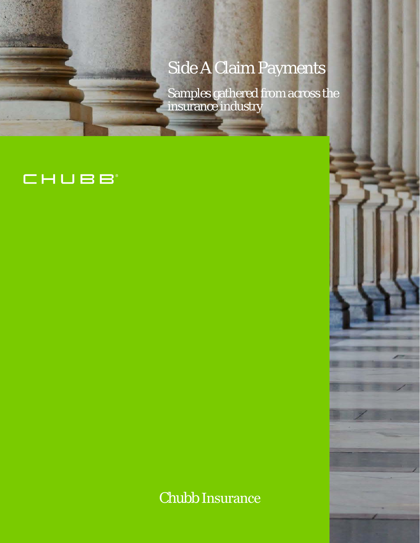# Side A Claim Payments

Samples gathered from across the insurance industry

# CHUBB

Chubb Insurance

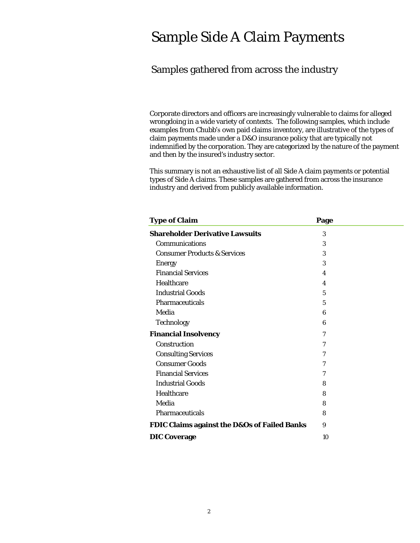# Sample Side A Claim Payments

# Samples gathered from across the industry

 and then by the insured's industry sector. Corporate directors and officers are increasingly vulnerable to claims for alleged wrongdoing in a wide variety of contexts. The following samples, which include examples from Chubb's own paid claims inventory, are illustrative of the types of claim payments made under a D&O insurance policy that are typically not indemnified by the corporation. They are categorized by the nature of the payment

 This summary is not an exhaustive list of all Side A claim payments or potential types of Side A claims. These samples are gathered from across the insurance industry and derived from publicly available information.

| <b>Type of Claim</b>                                    | Page                    |  |
|---------------------------------------------------------|-------------------------|--|
| <b>Shareholder Derivative Lawsuits</b>                  | 3                       |  |
| <b>Communications</b>                                   | 3                       |  |
| <b>Consumer Products &amp; Services</b>                 | 3                       |  |
| <b>Energy</b>                                           | 3                       |  |
| <b>Financial Services</b>                               | $\overline{\mathbf{4}}$ |  |
| Healthcare                                              | $\overline{\mathbf{4}}$ |  |
| <b>Industrial Goods</b>                                 | $\mathbf{5}$            |  |
| Pharmaceuticals                                         | 5                       |  |
| Media                                                   | 6                       |  |
| <b>Technology</b>                                       | 6                       |  |
| <b>Financial Insolvency</b>                             | 7                       |  |
| Construction                                            | 7                       |  |
| <b>Consulting Services</b>                              | 7                       |  |
| <b>Consumer Goods</b>                                   | 7                       |  |
| <b>Financial Services</b>                               | 7                       |  |
| <b>Industrial Goods</b>                                 | 8                       |  |
| Healthcare                                              | 8                       |  |
| Media                                                   | 8                       |  |
| <b>Pharmaceuticals</b>                                  | 8                       |  |
| <b>FDIC Claims against the D&amp;Os of Failed Banks</b> | 9                       |  |
| <b>DIC Coverage</b>                                     | 10                      |  |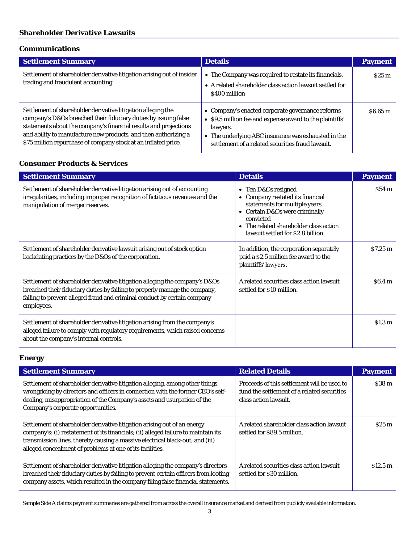#### <span id="page-2-0"></span>**Shareholder Derivative Lawsuits**

#### <span id="page-2-1"></span>**Communications**

| <b>Settlement Summary</b>                                                                                                                                                                                                                                                                                                                | <b>Details</b>                                                                                                                                                                                                                       | <b>Payment</b> |
|------------------------------------------------------------------------------------------------------------------------------------------------------------------------------------------------------------------------------------------------------------------------------------------------------------------------------------------|--------------------------------------------------------------------------------------------------------------------------------------------------------------------------------------------------------------------------------------|----------------|
| Settlement of shareholder derivative litigation arising out of insider<br>trading and fraudulent accounting.                                                                                                                                                                                                                             | • The Company was required to restate its financials.<br>• A related shareholder class action lawsuit settled for<br>\$400 million                                                                                                   | \$25 m         |
| Settlement of shareholder derivative litigation alleging the<br>company's D&Os breached their fiduciary duties by issuing false<br>statements about the company's financial results and projections<br>and ability to manufacture new products, and then authorizing a<br>\$75 million repurchase of company stock at an inflated price. | • Company's enacted corporate governance reforms<br>• \$9.5 million fee and expense award to the plaintiffs'<br>lawyers.<br>• The underlying ABC insurance was exhausted in the<br>settlement of a related securities fraud lawsuit. | \$6.65~m       |

#### <span id="page-2-2"></span>**Consumer Products & Services**

| <b>Settlement Summary</b>                                                                                                                                                                                                                           | <b>Details</b>                                                                                                                                                                                                                     | <b>Payment</b>     |
|-----------------------------------------------------------------------------------------------------------------------------------------------------------------------------------------------------------------------------------------------------|------------------------------------------------------------------------------------------------------------------------------------------------------------------------------------------------------------------------------------|--------------------|
| Settlement of shareholder derivative litigation arising out of accounting<br>irregularities, including improper recognition of fictitious revenues and the<br>manipulation of merger reserves.                                                      | • Ten D&Os resigned<br>Company restated its financial<br>$\bullet$<br>statements for multiple years<br>• Certain D&Os were criminally<br>convicted<br>• The related shareholder class action<br>lawsuit settled for \$2.8 billion. | $$54\,\mathrm{m}$  |
| Settlement of shareholder derivative lawsuit arising out of stock option<br>backdating practices by the D&Os of the corporation.                                                                                                                    | In addition, the corporation separately<br>paid a \$2.5 million fee award to the<br>plaintiffs' lawyers.                                                                                                                           | \$7.25 m           |
| Settlement of shareholder derivative litigation alleging the company's D&Os<br>breached their fiduciary duties by failing to properly manage the company,<br>failing to prevent alleged fraud and criminal conduct by certain company<br>employees. | A related securities class action lawsuit<br>settled for \$10 million.                                                                                                                                                             | \$6.4 m            |
| Settlement of shareholder derivative litigation arising from the company's<br>alleged failure to comply with regulatory requirements, which raised concerns<br>about the company's internal controls.                                               |                                                                                                                                                                                                                                    | \$1.3 <sub>m</sub> |

# <span id="page-2-3"></span>**Energy**

| <b>Settlement Summary</b>                                                                                                                                                                                                                                                                                    | <b>Related Details</b>                                                                                              | <b>Payment</b>    |
|--------------------------------------------------------------------------------------------------------------------------------------------------------------------------------------------------------------------------------------------------------------------------------------------------------------|---------------------------------------------------------------------------------------------------------------------|-------------------|
| Settlement of shareholder derivative litigation alleging, among other things,<br>wrongdoing by directors and officers in connection with the former CEO's self-<br>dealing, misappropriation of the Company's assets and usurpation of the<br>Company's corporate opportunities.                             | Proceeds of this settlement will be used to<br>fund the settlement of a related securities<br>class action lawsuit. | \$38 <sub>m</sub> |
| Settlement of shareholder derivative litigation arising out of an energy<br>company's: (i) restatement of its financials; (ii) alleged failure to maintain its<br>transmission lines, thereby causing a massive electrical black-out; and (iii)<br>alleged concealment of problems at one of its facilities. | A related shareholder class action lawsuit<br>settled for \$89.5 million.                                           | \$25 m            |
| Settlement of shareholder derivative litigation alleging the company's directors<br>breached their fiduciary duties by failing to prevent certain officers from looting<br>company assets, which resulted in the company filing false financial statements.                                                  | A related securities class action lawsuit<br>settled for \$30 million.                                              | \$12.5 m          |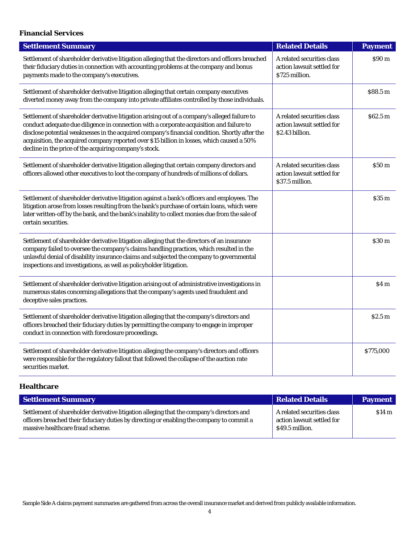### <span id="page-3-0"></span>**Financial Services**

| <b>Settlement Summary</b>                                                                                                                                                                                                                                                                                                                                                                                                                           | <b>Related Details</b>                                                      | <b>Payment</b>     |
|-----------------------------------------------------------------------------------------------------------------------------------------------------------------------------------------------------------------------------------------------------------------------------------------------------------------------------------------------------------------------------------------------------------------------------------------------------|-----------------------------------------------------------------------------|--------------------|
| Settlement of shareholder derivative litigation alleging that the directors and officers breached<br>their fiduciary duties in connection with accounting problems at the company and bonus<br>payments made to the company's executives.                                                                                                                                                                                                           | A related securities class<br>action lawsuit settled for<br>\$725 million.  | \$90 <sub>m</sub>  |
| Settlement of shareholder derivative litigation alleging that certain company executives<br>diverted money away from the company into private affiliates controlled by those individuals.                                                                                                                                                                                                                                                           |                                                                             | \$88.5 m           |
| Settlement of shareholder derivative litigation arising out of a company's alleged failure to<br>conduct adequate due diligence in connection with a corporate acquisition and failure to<br>disclose potential weaknesses in the acquired company's financial condition. Shortly after the<br>acquisition, the acquired company reported over \$15 billion in losses, which caused a 50%<br>decline in the price of the acquiring company's stock. | A related securities class<br>action lawsuit settled for<br>\$2.43 billion. | \$62.5 m           |
| Settlement of shareholder derivative litigation alleging that certain company directors and<br>officers allowed other executives to loot the company of hundreds of millions of dollars.                                                                                                                                                                                                                                                            | A related securities class<br>action lawsuit settled for<br>\$37.5 million. | \$50 <sub>m</sub>  |
| Settlement of shareholder derivative litigation against a bank's officers and employees. The<br>litigation arose from losses resulting from the bank's purchase of certain loans, which were<br>later written-off by the bank, and the bank's inability to collect monies due from the sale of<br>certain securities.                                                                                                                               |                                                                             | \$35 <sub>m</sub>  |
| Settlement of shareholder derivative litigation alleging that the directors of an insurance<br>company failed to oversee the company's claims handling practices, which resulted in the<br>unlawful denial of disability insurance claims and subjected the company to governmental<br>inspections and investigations, as well as policyholder litigation.                                                                                          |                                                                             | \$30 <sub>m</sub>  |
| Settlement of shareholder derivative litigation arising out of administrative investigations in<br>numerous states concerning allegations that the company's agents used fraudulent and<br>deceptive sales practices.                                                                                                                                                                                                                               |                                                                             | \$4 m              |
| Settlement of shareholder derivative litigation alleging that the company's directors and<br>officers breached their fiduciary duties by permitting the company to engage in improper<br>conduct in connection with foreclosure proceedings.                                                                                                                                                                                                        |                                                                             | \$2.5 <sub>m</sub> |
| Settlement of shareholder derivative litigation alleging the company's directors and officers<br>were responsible for the regulatory fallout that followed the collapse of the auction rate<br>securities market.                                                                                                                                                                                                                                   |                                                                             | \$775,000          |

## <span id="page-3-1"></span>**Healthcare**

| <b>Settlement Summary</b>                                                                                                                                                                                                  | <b>Related Details</b>                                                      | <b>Payment</b> |
|----------------------------------------------------------------------------------------------------------------------------------------------------------------------------------------------------------------------------|-----------------------------------------------------------------------------|----------------|
| Settlement of shareholder derivative litigation alleging that the company's directors and<br>officers breached their fiduciary duties by directing or enabling the company to commit a<br>massive healthcare fraud scheme. | A related securities class<br>action lawsuit settled for<br>\$49.5 million. | \$14 m         |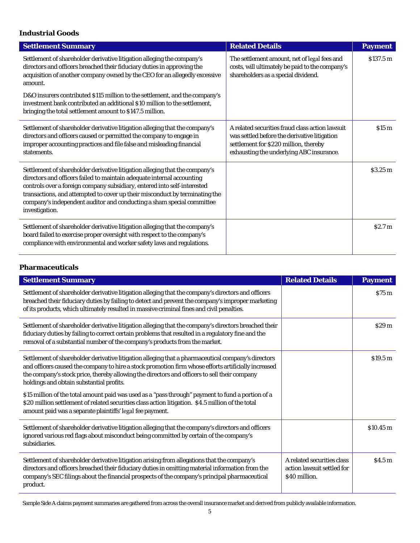#### <span id="page-4-0"></span>**Industrial Goods**

I

| <b>Settlement Summary</b>                                                                                                                                                                                                                                                                                                                                                                                   | <b>Related Details</b>                                                                                                                                                               | <b>Payment</b>       |
|-------------------------------------------------------------------------------------------------------------------------------------------------------------------------------------------------------------------------------------------------------------------------------------------------------------------------------------------------------------------------------------------------------------|--------------------------------------------------------------------------------------------------------------------------------------------------------------------------------------|----------------------|
| Settlement of shareholder derivative litigation alleging the company's<br>directors and officers breached their fiduciary duties in approving the<br>acquisition of another company owned by the CEO for an allegedly excessive<br>amount.                                                                                                                                                                  | The settlement amount, net of legal fees and<br>costs, will ultimately be paid to the company's<br>shareholders as a special dividend.                                               | \$137.5 <sub>m</sub> |
| D&O insurers contributed \$115 million to the settlement, and the company's<br>investment bank contributed an additional \$10 million to the settlement,<br>bringing the total settlement amount to \$147.5 million.                                                                                                                                                                                        |                                                                                                                                                                                      |                      |
| Settlement of shareholder derivative litigation alleging that the company's<br>directors and officers caused or permitted the company to engage in<br>improper accounting practices and file false and misleading financial<br>statements.                                                                                                                                                                  | A related securities fraud class action lawsuit<br>was settled before the derivative litigation<br>settlement for \$220 million, thereby<br>exhausting the underlying ABC insurance. | \$15 <sub>m</sub>    |
| Settlement of shareholder derivative litigation alleging that the company's<br>directors and officers failed to maintain adequate internal accounting<br>controls over a foreign company subsidiary, entered into self-interested<br>transactions, and attempted to cover up their misconduct by terminating the<br>company's independent auditor and conducting a sham special committee<br>investigation. |                                                                                                                                                                                      | \$3.25 <sub>m</sub>  |
| Settlement of shareholder derivative litigation alleging that the company's<br>board failed to exercise proper oversight with respect to the company's<br>compliance with environmental and worker safety laws and regulations.                                                                                                                                                                             |                                                                                                                                                                                      | \$2.7 <sub>m</sub>   |

#### <span id="page-4-1"></span>**Pharmaceuticals**

| <b>Settlement Summary</b>                                                                                                                                                                                                                                                                                                                             | <b>Related Details</b>                                                    | <b>Payment</b>    |
|-------------------------------------------------------------------------------------------------------------------------------------------------------------------------------------------------------------------------------------------------------------------------------------------------------------------------------------------------------|---------------------------------------------------------------------------|-------------------|
| Settlement of shareholder derivative litigation alleging that the company's directors and officers<br>breached their fiduciary duties by failing to detect and prevent the company's improper marketing<br>of its products, which ultimately resulted in massive criminal fines and civil penalties.                                                  |                                                                           | \$75 m            |
| Settlement of shareholder derivative litigation alleging that the company's directors breached their<br>fiduciary duties by failing to correct certain problems that resulted in a regulatory fine and the<br>removal of a substantial number of the company's products from the market.                                                              |                                                                           | \$29 <sub>m</sub> |
| Settlement of shareholder derivative litigation alleging that a pharmaceutical company's directors<br>and officers caused the company to hire a stock promotion firm whose efforts artificially increased<br>the company's stock price, thereby allowing the directors and officers to sell their company<br>holdings and obtain substantial profits. |                                                                           | \$19.5 m          |
| \$15 million of the total amount paid was used as a "pass through" payment to fund a portion of a<br>\$20 million settlement of related securities class action litigation. \$4.5 million of the total<br>amount paid was a separate plaintiffs' legal fee payment.                                                                                   |                                                                           |                   |
| Settlement of shareholder derivative litigation alleging that the company's directors and officers<br>ignored various red flags about misconduct being committed by certain of the company's<br>subsidiaries.                                                                                                                                         |                                                                           | \$10.45 m         |
| Settlement of shareholder derivative litigation arising from allegations that the company's<br>directors and officers breached their fiduciary duties in omitting material information from the<br>company's SEC filings about the financial prospects of the company's principal pharmaceutical<br>product.                                          | A related securities class<br>action lawsuit settled for<br>\$40 million. | S4.5m             |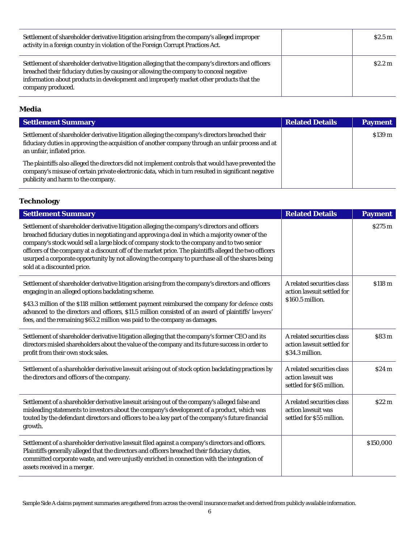| Settlement of shareholder derivative litigation arising from the company's alleged improper<br>activity in a foreign country in violation of the Foreign Corrupt Practices Act.                                                                                                                              | \$2.5 <sub>m</sub> |
|--------------------------------------------------------------------------------------------------------------------------------------------------------------------------------------------------------------------------------------------------------------------------------------------------------------|--------------------|
| Settlement of shareholder derivative litigation alleging that the company's directors and officers<br>breached their fiduciary duties by causing or allowing the company to conceal negative<br>information about products in development and improperly market other products that the<br>company produced. | \$2.2 <sub>m</sub> |

#### <span id="page-5-0"></span>**Media**

| <b>Settlement Summary</b>                                                                                                                                                                                                                       | <b>Related Details</b> | <b>Payment</b> |
|-------------------------------------------------------------------------------------------------------------------------------------------------------------------------------------------------------------------------------------------------|------------------------|----------------|
| Settlement of shareholder derivative litigation alleging the company's directors breached their<br>fiduciary duties in approving the acquisition of another company through an unfair process and at<br>an unfair, inflated price.              |                        | \$139 m        |
| The plaintiffs also alleged the directors did not implement controls that would have prevented the<br>company's misuse of certain private electronic data, which in turn resulted in significant negative<br>publicity and harm to the company. |                        |                |

# <span id="page-5-1"></span>**Technology**

| <b>Settlement Summary</b>                                                                                                                                                                                                                                                                                                                                                                                                                                                                                                                 | <b>Related Details</b>                                                        | <b>Payment</b>     |
|-------------------------------------------------------------------------------------------------------------------------------------------------------------------------------------------------------------------------------------------------------------------------------------------------------------------------------------------------------------------------------------------------------------------------------------------------------------------------------------------------------------------------------------------|-------------------------------------------------------------------------------|--------------------|
| Settlement of shareholder derivative litigation alleging the company's directors and officers<br>breached fiduciary duties in negotiating and approving a deal in which a majority owner of the<br>company's stock would sell a large block of company stock to the company and to two senior<br>officers of the company at a discount off of the market price. The plaintiffs alleged the two officers<br>usurped a corporate opportunity by not allowing the company to purchase all of the shares being<br>sold at a discounted price. |                                                                               | \$275 m            |
| Settlement of shareholder derivative litigation arising from the company's directors and officers<br>engaging in an alleged options backdating scheme.<br>\$43.3 million of the \$118 million settlement payment reimbursed the company for defence costs<br>advanced to the directors and officers, \$11.5 million consisted of an award of plaintiffs' lawyers'<br>fees, and the remaining \$63.2 million was paid to the company as damages.                                                                                           | A related securities class<br>action lawsuit settled for<br>\$160.5 million.  | \$118 <sub>m</sub> |
| Settlement of shareholder derivative litigation alleging that the company's former CEO and its<br>directors misled shareholders about the value of the company and its future success in order to<br>profit from their own stock sales.                                                                                                                                                                                                                                                                                                   | A related securities class<br>action lawsuit settled for<br>\$34.3 million.   | \$83 <sub>m</sub>  |
| Settlement of a shareholder derivative lawsuit arising out of stock option backdating practices by<br>the directors and officers of the company.                                                                                                                                                                                                                                                                                                                                                                                          | A related securities class<br>action lawsuit was<br>settled for \$65 million. | \$24 m             |
| Settlement of a shareholder derivative lawsuit arising out of the company's alleged false and<br>misleading statements to investors about the company's development of a product, which was<br>touted by the defendant directors and officers to be a key part of the company's future financial<br>growth.                                                                                                                                                                                                                               | A related securities class<br>action lawsuit was<br>settled for \$55 million. | \$22 m             |
| Settlement of a shareholder derivative lawsuit filed against a company's directors and officers.<br>Plaintiffs generally alleged that the directors and officers breached their fiduciary duties,<br>committed corporate waste, and were unjustly enriched in connection with the integration of<br>assets received in a merger.                                                                                                                                                                                                          |                                                                               | \$150,000          |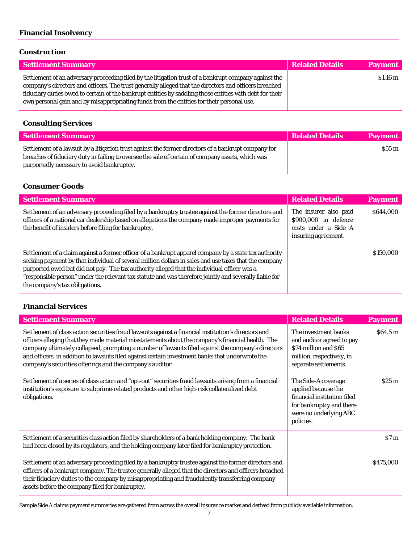# <span id="page-6-0"></span>**Financial Insolvency**

#### <span id="page-6-1"></span>**Construction**

| <b>Settlement Summary</b>                                                                                                                                                                                                                                                                                                                                                                                                | <b>Related Details</b> | <b>Payment</b> |
|--------------------------------------------------------------------------------------------------------------------------------------------------------------------------------------------------------------------------------------------------------------------------------------------------------------------------------------------------------------------------------------------------------------------------|------------------------|----------------|
| Settlement of an adversary proceeding filed by the litigation trust of a bankrupt company against the<br>company's directors and officers. The trust generally alleged that the directors and officers breached<br>fiduciary duties owed to certain of the bankrupt entities by saddling those entities with debt for their<br>own personal gain and by misappropriating funds from the entities for their personal use. |                        | \$1.16~m       |

# <span id="page-6-2"></span>**Consulting Services**

| <b>Settlement Summary</b>                                                                                                                                                                                                                               | <b>Related Details</b> | <b>Payment</b>    |
|---------------------------------------------------------------------------------------------------------------------------------------------------------------------------------------------------------------------------------------------------------|------------------------|-------------------|
| Settlement of a lawsuit by a litigation trust against the former directors of a bankrupt company for<br>breaches of fiduciary duty in failing to oversee the sale of certain of company assets, which was<br>purportedly necessary to avoid bankruptcy. |                        | $$55\,\mathrm{m}$ |

## <span id="page-6-3"></span>**Consumer Goods**

| <b>Settlement Summary</b>                                                                                                                                                                                                                                                                                                                                                                                                                                 | <b>Related Details</b>                                                                       | <b>Payment</b> |
|-----------------------------------------------------------------------------------------------------------------------------------------------------------------------------------------------------------------------------------------------------------------------------------------------------------------------------------------------------------------------------------------------------------------------------------------------------------|----------------------------------------------------------------------------------------------|----------------|
| Settlement of an adversary proceeding filed by a bankruptcy trustee against the former directors and<br>officers of a national car dealership based on allegations the company made improper payments for<br>the benefit of insiders before filing for bankruptcy.                                                                                                                                                                                        | The insurer also paid<br>\$900,000 in defence<br>costs under a Side A<br>insuring agreement. | \$644,000      |
| Settlement of a claim against a former officer of a bankrupt apparel company by a state tax authority<br>seeking payment by that individual of several million dollars in sales and use taxes that the company<br>purported owed but did not pay. The tax authority alleged that the individual officer was a<br>"responsible person" under the relevant tax statute and was therefore jointly and severally liable for<br>the company's tax obligations. |                                                                                              | \$150,000      |

### <span id="page-6-4"></span>**Financial Services**

| <b>Settlement Summary</b>                                                                                                                                                                                                                                                                                                                                                                                                                                                        | <b>Related Details</b>                                                                                                                       | <b>Payment</b> |
|----------------------------------------------------------------------------------------------------------------------------------------------------------------------------------------------------------------------------------------------------------------------------------------------------------------------------------------------------------------------------------------------------------------------------------------------------------------------------------|----------------------------------------------------------------------------------------------------------------------------------------------|----------------|
| Settlement of class action securities fraud lawsuits against a financial institution's directors and<br>officers alleging that they made material misstatements about the company's financial health. The<br>company ultimately collapsed, prompting a number of lawsuits filed against the company's directors<br>and officers, in addition to lawsuits filed against certain investment banks that underwrote the<br>company's securities offerings and the company's auditor. | The investment banks<br>and auditor agreed to pay<br>\$74 million and \$65<br>million, respectively, in<br>separate settlements.             | \$64.5 m       |
| Settlement of a series of class action and "opt-out" securities fraud lawsuits arising from a financial<br>institution's exposure to subprime-related products and other high-risk collateralized debt<br>obligations.                                                                                                                                                                                                                                                           | The Side-A coverage<br>applied because the<br>financial institution filed<br>for bankruptcy and there<br>were no underlying ABC<br>policies. | \$25 m         |
| Settlement of a securities class action filed by shareholders of a bank holding company. The bank<br>had been closed by its regulators, and the holding company later filed for bankruptcy protection.                                                                                                                                                                                                                                                                           |                                                                                                                                              | S7m            |
| Settlement of an adversary proceeding filed by a bankruptcy trustee against the former directors and<br>officers of a bankrupt company. The trustee generally alleged that the directors and officers breached<br>their fiduciary duties to the company by misappropriating and fraudulently transferring company<br>assets before the company filed for bankruptcy.                                                                                                             |                                                                                                                                              | \$475,000      |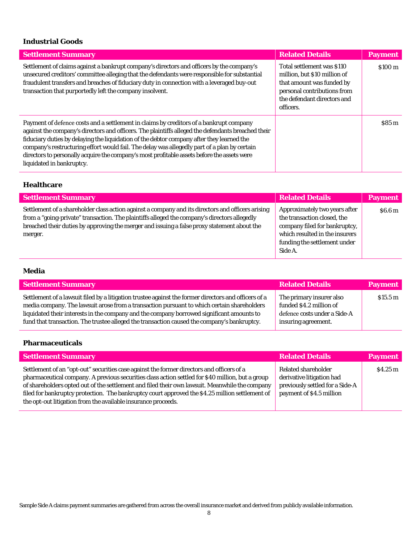## <span id="page-7-0"></span>**Industrial Goods**

| <b>Settlement Summary</b>                                                                                                                                                                                                                                                                                                                                                                                                                                                                                             | <b>Related Details</b>                                                                                                                                             | <b>Payment</b>     |
|-----------------------------------------------------------------------------------------------------------------------------------------------------------------------------------------------------------------------------------------------------------------------------------------------------------------------------------------------------------------------------------------------------------------------------------------------------------------------------------------------------------------------|--------------------------------------------------------------------------------------------------------------------------------------------------------------------|--------------------|
| Settlement of claims against a bankrupt company's directors and officers by the company's<br>unsecured creditors' committee alleging that the defendants were responsible for substantial<br>fraudulent transfers and breaches of fiduciary duty in connection with a leveraged buy-out<br>transaction that purportedly left the company insolvent.                                                                                                                                                                   | Total settlement was \$110<br>million, but \$10 million of<br>that amount was funded by<br>personal contributions from<br>the defendant directors and<br>officers. | \$100 <sub>m</sub> |
| Payment of defence costs and a settlement in claims by creditors of a bankrupt company<br>against the company's directors and officers. The plaintiffs alleged the defendants breached their<br>fiduciary duties by delaying the liquidation of the debtor company after they learned the<br>company's restructuring effort would fail. The delay was allegedly part of a plan by certain<br>directors to personally acquire the company's most profitable assets before the assets were<br>liquidated in bankruptcy. |                                                                                                                                                                    | \$85m              |

# <span id="page-7-1"></span>**Healthcare**

| <b>Settlement Summary</b>                                                                                                                                                                                                                                                                                   | <b>Related Details</b>                                                                                                                                                     | <b>Payment</b>     |
|-------------------------------------------------------------------------------------------------------------------------------------------------------------------------------------------------------------------------------------------------------------------------------------------------------------|----------------------------------------------------------------------------------------------------------------------------------------------------------------------------|--------------------|
| Settlement of a shareholder class action against a company and its directors and officers arising<br>from a "going-private" transaction. The plaintiffs alleged the company's directors allegedly<br>breached their duties by approving the merger and issuing a false proxy statement about the<br>merger. | Approximately two years after<br>the transaction closed, the<br>company filed for bankruptcy,<br>which resulted in the insurers<br>funding the settlement under<br>Side A. | \$6.6 <sub>m</sub> |

#### <span id="page-7-2"></span>**Media**

| <b>Settlement Summary</b>                                                                                                                                                                                                                                                                                                                                                                      | <b>Related Details</b>                                                                                     | <b>Payment</b>    |
|------------------------------------------------------------------------------------------------------------------------------------------------------------------------------------------------------------------------------------------------------------------------------------------------------------------------------------------------------------------------------------------------|------------------------------------------------------------------------------------------------------------|-------------------|
| Settlement of a lawsuit filed by a litigation trustee against the former directors and officers of a<br>media company. The lawsuit arose from a transaction pursuant to which certain shareholders<br>liquidated their interests in the company and the company borrowed significant amounts to<br>fund that transaction. The trustee alleged the transaction caused the company's bankruptcy. | The primary insurer also<br>funded \$4.2 million of<br>defence costs under a Side-A<br>insuring agreement. | $$15.5 \text{ m}$ |

#### <span id="page-7-3"></span>**Pharmaceuticals**

| <b>Settlement Summary</b>                                                                                                                                                                                                                                                                                                                                                                                                                                           | <b>Related Details</b>                                                                                          | <b>Payment</b> |
|---------------------------------------------------------------------------------------------------------------------------------------------------------------------------------------------------------------------------------------------------------------------------------------------------------------------------------------------------------------------------------------------------------------------------------------------------------------------|-----------------------------------------------------------------------------------------------------------------|----------------|
| Settlement of an "opt-out" securities case against the former directors and officers of a<br>pharmaceutical company. A previous securities class action settled for \$40 million, but a group<br>of shareholders opted out of the settlement and filed their own lawsuit. Meanwhile the company<br>filed for bankruptcy protection. The bankruptcy court approved the \$4.25 million settlement of<br>the opt-out litigation from the available insurance proceeds. | Related shareholder<br>derivative litigation had<br>previously settled for a Side-A<br>payment of \$4.5 million | \$4.25 m       |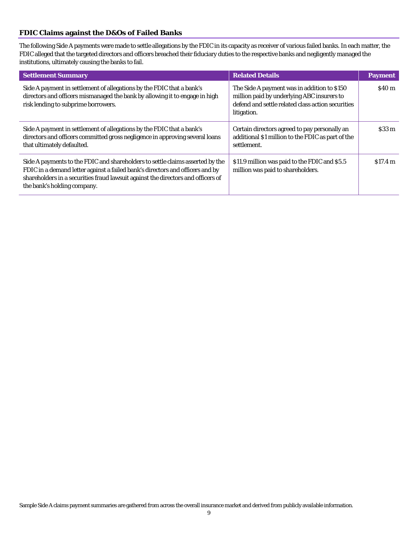#### <span id="page-8-0"></span>**FDIC Claims against the D&Os of Failed Banks**

 The following Side A payments were made to settle allegations by the FDIC in its capacity as receiver of various failed banks. In each matter, the FDIC alleged that the targeted directors and officers breached their fiduciary duties to the respective banks and negligently managed the institutions, ultimately causing the banks to fail.

| <b>Settlement Summary</b>                                                                                                                                                                                                                                                         | <b>Related Details</b>                                                                                                                                        | <b>Payment</b>    |
|-----------------------------------------------------------------------------------------------------------------------------------------------------------------------------------------------------------------------------------------------------------------------------------|---------------------------------------------------------------------------------------------------------------------------------------------------------------|-------------------|
| Side A payment in settlement of allegations by the FDIC that a bank's<br>directors and officers mismanaged the bank by allowing it to engage in high<br>risk lending to subprime borrowers.                                                                                       | The Side A payment was in addition to \$150<br>million paid by underlying ABC insurers to<br>defend and settle related class action securities<br>litigation. | \$40 <sub>m</sub> |
| Side A payment in settlement of allegations by the FDIC that a bank's<br>directors and officers committed gross negligence in approving several loans<br>that ultimately defaulted.                                                                                               | Certain directors agreed to pay personally an<br>additional \$1 million to the FDIC as part of the<br>settlement.                                             | $$33\,\mathrm{m}$ |
| Side A payments to the FDIC and shareholders to settle claims asserted by the<br>FDIC in a demand letter against a failed bank's directors and officers and by<br>shareholders in a securities fraud lawsuit against the directors and officers of<br>the bank's holding company. | \$11.9 million was paid to the FDIC and \$5.5<br>million was paid to shareholders.                                                                            | \$17.4 m          |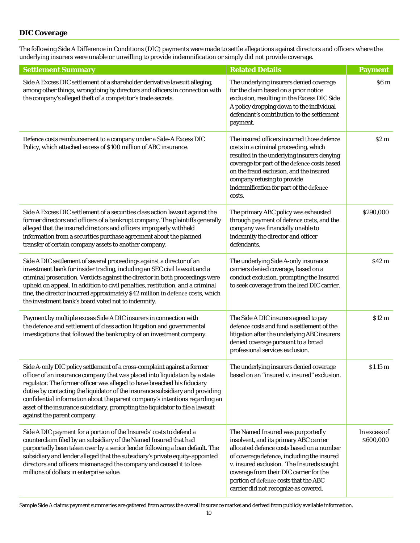#### <span id="page-9-0"></span>**DIC Coverage**

 underlying insurers were unable or unwilling to provide indemnification or simply did not provide coverage. The following Side A Difference in Conditions (DIC) payments were made to settle allegations against directors and officers where the

| <b>Settlement Summary</b>                                                                                                                                                                                                                                                                                                                                                                                                                                                                                          | <b>Related Details</b>                                                                                                                                                                                                                                                                                                                           | <b>Payment</b>            |
|--------------------------------------------------------------------------------------------------------------------------------------------------------------------------------------------------------------------------------------------------------------------------------------------------------------------------------------------------------------------------------------------------------------------------------------------------------------------------------------------------------------------|--------------------------------------------------------------------------------------------------------------------------------------------------------------------------------------------------------------------------------------------------------------------------------------------------------------------------------------------------|---------------------------|
| Side A Excess DIC settlement of a shareholder derivative lawsuit alleging,<br>among other things, wrongdoing by directors and officers in connection with<br>the company's alleged theft of a competitor's trade secrets.                                                                                                                                                                                                                                                                                          | The underlying insurers denied coverage<br>for the claim based on a prior notice<br>exclusion, resulting in the Excess DIC Side<br>A policy dropping down to the individual<br>defendant's contribution to the settlement<br>payment.                                                                                                            | \$6 m                     |
| Defence costs reimbursement to a company under a Side-A Excess DIC<br>Policy, which attached excess of \$100 million of ABC insurance.                                                                                                                                                                                                                                                                                                                                                                             | The insured officers incurred those defence<br>costs in a criminal proceeding, which<br>resulted in the underlying insurers denying<br>coverage for part of the defence costs based<br>on the fraud exclusion, and the insured<br>company refusing to provide<br>indemnification for part of the defence<br>costs.                               | S2m                       |
| Side A Excess DIC settlement of a securities class action lawsuit against the<br>former directors and officers of a bankrupt company. The plaintiffs generally<br>alleged that the insured directors and officers improperly withheld<br>information from a securities purchase agreement about the planned<br>transfer of certain company assets to another company.                                                                                                                                              | The primary ABC policy was exhausted<br>through payment of defence costs, and the<br>company was financially unable to<br>indemnify the director and officer<br>defendants.                                                                                                                                                                      | \$290,000                 |
| Side A DIC settlement of several proceedings against a director of an<br>investment bank for insider trading, including an SEC civil lawsuit and a<br>criminal prosecution. Verdicts against the director in both proceedings were<br>upheld on appeal. In addition to civil penalties, restitution, and a criminal<br>fine, the director incurred approximately \$42 million in defence costs, which<br>the investment bank's board voted not to indemnify.                                                       | The underlying Side A-only insurance<br>carriers denied coverage, based on a<br>conduct exclusion, prompting the Insured<br>to seek coverage from the lead DIC carrier.                                                                                                                                                                          | \$42 m                    |
| Payment by multiple excess Side A DIC insurers in connection with<br>the defence and settlement of class action litigation and governmental<br>investigations that followed the bankruptcy of an investment company.                                                                                                                                                                                                                                                                                               | The Side A DIC insurers agreed to pay<br>defence costs and fund a settlement of the<br>litigation after the underlying ABC insurers<br>denied coverage pursuant to a broad<br>professional services exclusion.                                                                                                                                   | \$12 m                    |
| Side A-only DIC policy settlement of a cross-complaint against a former<br>officer of an insurance company that was placed into liquidation by a state<br>regulator. The former officer was alleged to have breached his fiduciary<br>duties by contacting the liquidator of the insurance subsidiary and providing<br>confidential information about the parent company's intentions regarding an<br>asset of the insurance subsidiary, prompting the liquidator to file a lawsuit<br>against the parent company. | The underlying insurers denied coverage<br>based on an "insured v. insured" exclusion.                                                                                                                                                                                                                                                           | \$1.15 m                  |
| Side A DIC payment for a portion of the Insureds' costs to defend a<br>counterclaim filed by an subsidiary of the Named Insured that had<br>purportedly been taken over by a senior lender following a loan default. The<br>subsidiary and lender alleged that the subsidiary's private equity-appointed<br>directors and officers mismanaged the company and caused it to lose<br>millions of dollars in enterprise value.                                                                                        | The Named Insured was purportedly<br>insolvent, and its primary ABC carrier<br>allocated defence costs based on a number<br>of coverage defence, including the insured<br>v. insured exclusion. The Insureds sought<br>coverage from their DIC carrier for the<br>portion of defence costs that the ABC<br>carrier did not recognize as covered. | In excess of<br>\$600,000 |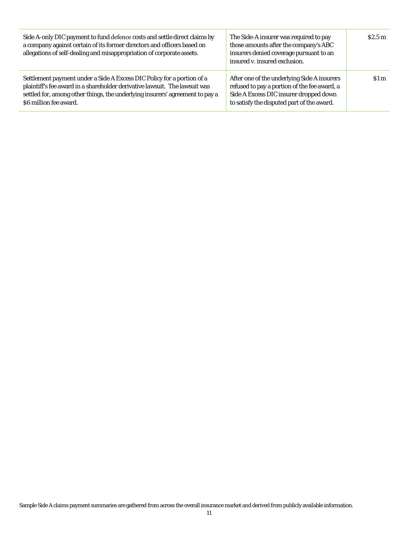| Side A-only DIC payment to fund defence costs and settle direct claims by<br>a company against certain of its former directors and officers based on<br>allegations of self-dealing and misappropriation of corporate assets.                                  | The Side-A insurer was required to pay<br>those amounts after the company's ABC<br>insurers denied coverage pursuant to an<br>insured v. insured exclusion.                         | \$2.5 <sub>m</sub> |
|----------------------------------------------------------------------------------------------------------------------------------------------------------------------------------------------------------------------------------------------------------------|-------------------------------------------------------------------------------------------------------------------------------------------------------------------------------------|--------------------|
| Settlement payment under a Side A Excess DIC Policy for a portion of a<br>plaintiff's fee award in a shareholder derivative lawsuit. The lawsuit was<br>settled for, among other things, the underlying insurers' agreement to pay a<br>\$6 million fee award. | After one of the underlying Side A insurers<br>refused to pay a portion of the fee award, a<br>Side A Excess DIC insurer dropped down<br>to satisfy the disputed part of the award. | \$1 m              |